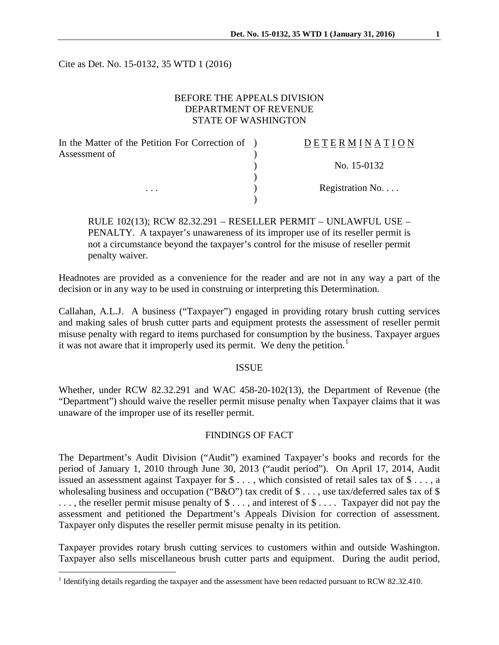Cite as Det. No. 15-0132, 35 WTD 1 (2016)

### BEFORE THE APPEALS DIVISION DEPARTMENT OF REVENUE STATE OF WASHINGTON

| In the Matter of the Petition For Correction of ) | DETERMINATION   |
|---------------------------------------------------|-----------------|
| Assessment of                                     |                 |
|                                                   | No. 15-0132     |
|                                                   |                 |
| $\cdots$                                          | Registration No |
|                                                   |                 |

RULE 102(13); RCW 82.32.291 – RESELLER PERMIT – UNLAWFUL USE – PENALTY. A taxpayer's unawareness of its improper use of its reseller permit is not a circumstance beyond the taxpayer's control for the misuse of reseller permit penalty waiver.

Headnotes are provided as a convenience for the reader and are not in any way a part of the decision or in any way to be used in construing or interpreting this Determination.

Callahan, A.L.J. A business ("Taxpayer") engaged in providing rotary brush cutting services and making sales of brush cutter parts and equipment protests the assessment of reseller permit misuse penalty with regard to items purchased for consumption by the business. Taxpayer argues it was not aware that it improperly used its permit. We deny the petition.<sup>[1](#page-0-0)</sup>

#### ISSUE

Whether, under RCW 82.32.291 and WAC 458-20-102(13), the Department of Revenue (the "Department") should waive the reseller permit misuse penalty when Taxpayer claims that it was unaware of the improper use of its reseller permit.

# FINDINGS OF FACT

The Department's Audit Division ("Audit") examined Taxpayer's books and records for the period of January 1, 2010 through June 30, 2013 ("audit period"). On April 17, 2014, Audit issued an assessment against Taxpayer for \$ . . . , which consisted of retail sales tax of \$ . . . , a wholesaling business and occupation ("B&O") tax credit of \$ . . . , use tax/deferred sales tax of \$ ..., the reseller permit misuse penalty of  $\$\ldots$ , and interest of  $\$\ldots$ . Taxpayer did not pay the assessment and petitioned the Department's Appeals Division for correction of assessment. Taxpayer only disputes the reseller permit misuse penalty in its petition.

Taxpayer provides rotary brush cutting services to customers within and outside Washington. Taxpayer also sells miscellaneous brush cutter parts and equipment. During the audit period,

<span id="page-0-0"></span><sup>&</sup>lt;sup>1</sup> Identifying details regarding the taxpayer and the assessment have been redacted pursuant to RCW 82.32.410.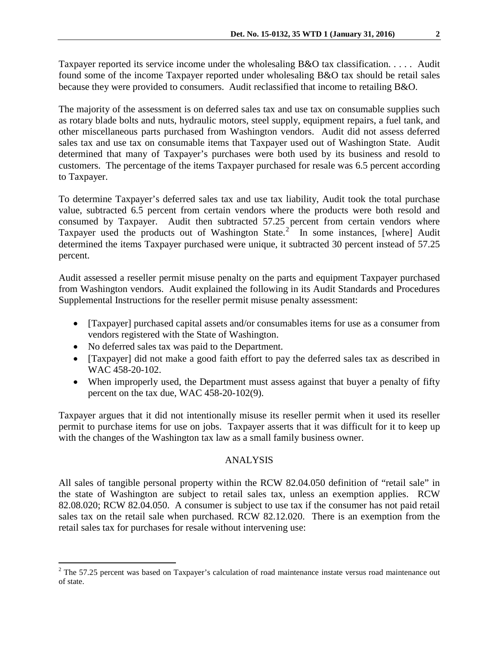Taxpayer reported its service income under the wholesaling B&O tax classification. . . . . Audit found some of the income Taxpayer reported under wholesaling B&O tax should be retail sales because they were provided to consumers. Audit reclassified that income to retailing B&O.

The majority of the assessment is on deferred sales tax and use tax on consumable supplies such as rotary blade bolts and nuts, hydraulic motors, steel supply, equipment repairs, a fuel tank, and other miscellaneous parts purchased from Washington vendors. Audit did not assess deferred sales tax and use tax on consumable items that Taxpayer used out of Washington State. Audit determined that many of Taxpayer's purchases were both used by its business and resold to customers. The percentage of the items Taxpayer purchased for resale was 6.5 percent according to Taxpayer.

To determine Taxpayer's deferred sales tax and use tax liability, Audit took the total purchase value, subtracted 6.5 percent from certain vendors where the products were both resold and consumed by Taxpayer. Audit then subtracted 57.25 percent from certain vendors where Taxpayer used the products out of Washington State.<sup>[2](#page-1-0)</sup> In some instances, [where] Audit determined the items Taxpayer purchased were unique, it subtracted 30 percent instead of 57.25 percent.

Audit assessed a reseller permit misuse penalty on the parts and equipment Taxpayer purchased from Washington vendors. Audit explained the following in its Audit Standards and Procedures Supplemental Instructions for the reseller permit misuse penalty assessment:

- [Taxpayer] purchased capital assets and/or consumables items for use as a consumer from vendors registered with the State of Washington.
- No deferred sales tax was paid to the Department.
- [Taxpayer] did not make a good faith effort to pay the deferred sales tax as described in WAC 458-20-102.
- When improperly used, the Department must assess against that buyer a penalty of fifty percent on the tax due, WAC 458-20-102(9).

Taxpayer argues that it did not intentionally misuse its reseller permit when it used its reseller permit to purchase items for use on jobs. Taxpayer asserts that it was difficult for it to keep up with the changes of the Washington tax law as a small family business owner.

## ANALYSIS

All sales of tangible personal property within the RCW 82.04.050 definition of "retail sale" in the state of Washington are subject to retail sales tax, unless an exemption applies. RCW 82.08.020; RCW 82.04.050. A consumer is subject to use tax if the consumer has not paid retail sales tax on the retail sale when purchased. RCW 82.12.020. There is an exemption from the retail sales tax for purchases for resale without intervening use:

<span id="page-1-0"></span> $2$  The 57.25 percent was based on Taxpayer's calculation of road maintenance instate versus road maintenance out of state.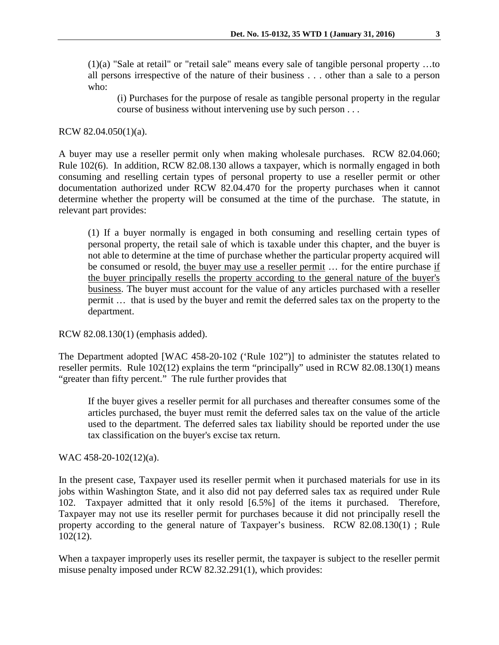(1)(a) "Sale at retail" or "retail sale" means every sale of tangible personal property …to all persons irrespective of the nature of their business . . . other than a sale to a person who:

(i) Purchases for the purpose of resale as tangible personal property in the regular course of business without intervening use by such person . . .

RCW 82.04.050(1)(a).

A buyer may use a reseller permit only when making wholesale purchases. RCW 82.04.060; Rule 102(6). In addition, RCW 82.08.130 allows a taxpayer, which is normally engaged in both consuming and reselling certain types of personal property to use a reseller permit or other documentation authorized under RCW 82.04.470 for the property purchases when it cannot determine whether the property will be consumed at the time of the purchase. The statute, in relevant part provides:

(1) If a buyer normally is engaged in both consuming and reselling certain types of personal property, the retail sale of which is taxable under this chapter, and the buyer is not able to determine at the time of purchase whether the particular property acquired will be consumed or resold, the buyer may use a reseller permit … for the entire purchase if the buyer principally resells the property according to the general nature of the buyer's business. The buyer must account for the value of any articles purchased with a reseller permit … that is used by the buyer and remit the deferred sales tax on the property to the department.

RCW 82.08.130(1) (emphasis added).

The Department adopted [WAC 458-20-102 ('Rule 102")] to administer the statutes related to reseller permits. Rule 102(12) explains the term "principally" used in RCW 82.08.130(1) means "greater than fifty percent." The rule further provides that

If the buyer gives a reseller permit for all purchases and thereafter consumes some of the articles purchased, the buyer must remit the deferred sales tax on the value of the article used to the department. The deferred sales tax liability should be reported under the use tax classification on the buyer's excise tax return.

WAC 458-20-102(12)(a).

In the present case, Taxpayer used its reseller permit when it purchased materials for use in its jobs within Washington State, and it also did not pay deferred sales tax as required under Rule 102. Taxpayer admitted that it only resold [6.5%] of the items it purchased. Therefore, Taxpayer may not use its reseller permit for purchases because it did not principally resell the property according to the general nature of Taxpayer's business. RCW 82.08.130(1) ; Rule 102(12).

When a taxpayer improperly uses its reseller permit, the taxpayer is subject to the reseller permit misuse penalty imposed under RCW 82.32.291(1), which provides: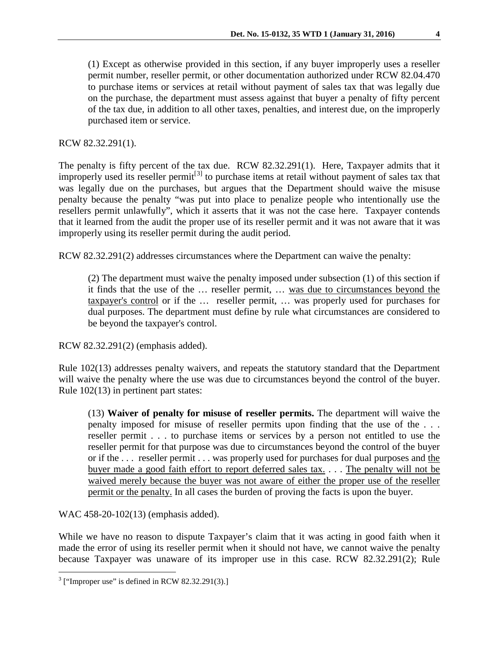(1) Except as otherwise provided in this section, if any buyer improperly uses a reseller permit number, reseller permit, or other documentation authorized under RCW [82.04.470](http://apps.leg.wa.gov/rcw/default.aspx?cite=82.04.470) to purchase items or services at retail without payment of sales tax that was legally due on the purchase, the department must assess against that buyer a penalty of fifty percent of the tax due, in addition to all other taxes, penalties, and interest due, on the improperly purchased item or service.

RCW 82.32.291(1).

The penalty is fifty percent of the tax due. RCW 82.32.291(1). Here, Taxpayer admits that it improperly used its reseller permit<sup>[[3\]](#page-3-0)</sup> to purchase items at retail without payment of sales tax that was legally due on the purchases, but argues that the Department should waive the misuse penalty because the penalty "was put into place to penalize people who intentionally use the resellers permit unlawfully", which it asserts that it was not the case here. Taxpayer contends that it learned from the audit the proper use of its reseller permit and it was not aware that it was improperly using its reseller permit during the audit period.

RCW 82.32.291(2) addresses circumstances where the Department can waive the penalty:

(2) The department must waive the penalty imposed under subsection (1) of this section if it finds that the use of the … reseller permit, … was due to circumstances beyond the taxpayer's control or if the … reseller permit, … was properly used for purchases for dual purposes. The department must define by rule what circumstances are considered to be beyond the taxpayer's control.

RCW 82.32.291(2) (emphasis added).

Rule 102(13) addresses penalty waivers, and repeats the statutory standard that the Department will waive the penalty where the use was due to circumstances beyond the control of the buyer. Rule 102(13) in pertinent part states:

(13) **Waiver of penalty for misuse of reseller permits.** The department will waive the penalty imposed for misuse of reseller permits upon finding that the use of the . . . reseller permit . . . to purchase items or services by a person not entitled to use the reseller permit for that purpose was due to circumstances beyond the control of the buyer or if the . . . reseller permit . . . was properly used for purchases for dual purposes and the buyer made a good faith effort to report deferred sales tax. . . . The penalty will not be waived merely because the buyer was not aware of either the proper use of the reseller permit or the penalty. In all cases the burden of proving the facts is upon the buyer.

WAC 458-20-102(13) (emphasis added).

While we have no reason to dispute Taxpayer's claim that it was acting in good faith when it made the error of using its reseller permit when it should not have, we cannot waive the penalty because Taxpayer was unaware of its improper use in this case. RCW 82.32.291(2); Rule

<span id="page-3-0"></span> $3$  ["Improper use" is defined in RCW 82.32.291(3).]